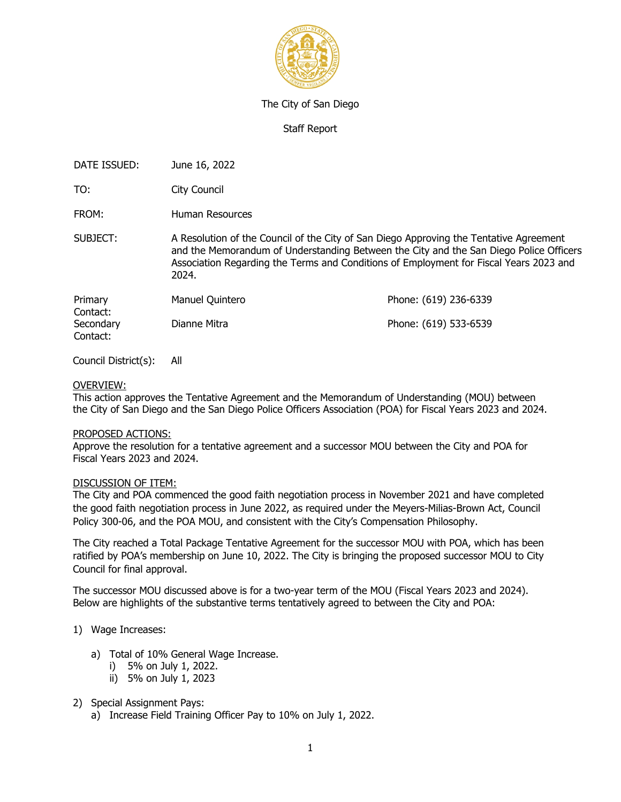

#### The City of San Diego

## Staff Report

DATE ISSUED: June 16, 2022

TO: City Council

FROM: Human Resources

SUBJECT: A Resolution of the Council of the City of San Diego Approving the Tentative Agreement and the Memorandum of Understanding Between the City and the San Diego Police Officers Association Regarding the Terms and Conditions of Employment for Fiscal Years 2023 and 2024.

| Primary   | Manuel Quintero | Phone: (619) 236-6339 |
|-----------|-----------------|-----------------------|
| Contact:  |                 |                       |
| Secondary | Dianne Mitra    | Phone: (619) 533-6539 |
| Contact:  |                 |                       |

Council District(s): All

### OVERVIEW:

This action approves the Tentative Agreement and the Memorandum of Understanding (MOU) between the City of San Diego and the San Diego Police Officers Association (POA) for Fiscal Years 2023 and 2024.

#### PROPOSED ACTIONS:

Approve the resolution for a tentative agreement and a successor MOU between the City and POA for Fiscal Years 2023 and 2024.

#### DISCUSSION OF ITEM:

The City and POA commenced the good faith negotiation process in November 2021 and have completed the good faith negotiation process in June 2022, as required under the Meyers-Milias-Brown Act, Council Policy 300-06, and the POA MOU, and consistent with the City's Compensation Philosophy.

The City reached a Total Package Tentative Agreement for the successor MOU with POA, which has been ratified by POA's membership on June 10, 2022. The City is bringing the proposed successor MOU to City Council for final approval.

The successor MOU discussed above is for a two-year term of the MOU (Fiscal Years 2023 and 2024). Below are highlights of the substantive terms tentatively agreed to between the City and POA:

# 1) Wage Increases:

- a) Total of 10% General Wage Increase.
	- i) 5% on July 1, 2022.
	- ii) 5% on July 1, 2023

# 2) Special Assignment Pays:

a) Increase Field Training Officer Pay to 10% on July 1, 2022.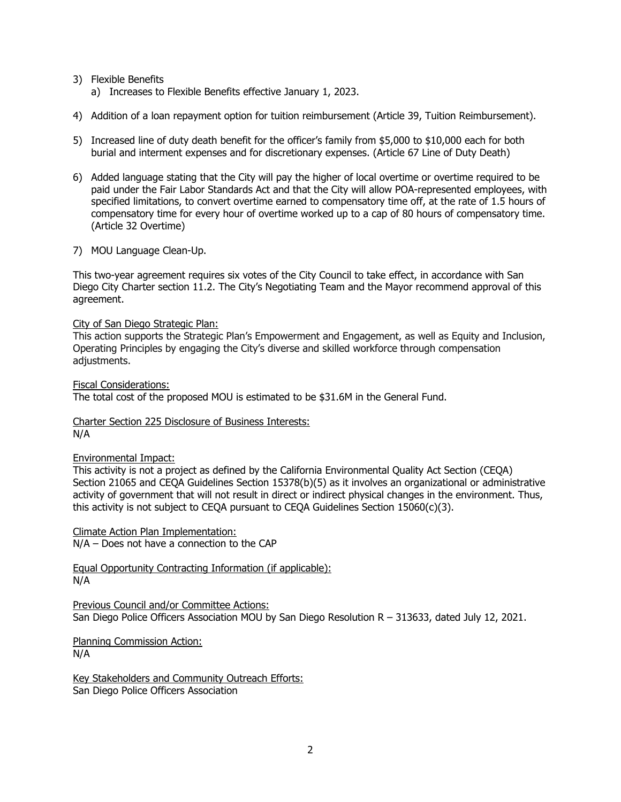- 3) Flexible Benefits
	- a) Increases to Flexible Benefits effective January 1, 2023.
- 4) Addition of a loan repayment option for tuition reimbursement (Article 39, Tuition Reimbursement).
- 5) Increased line of duty death benefit for the officer's family from \$5,000 to \$10,000 each for both burial and interment expenses and for discretionary expenses. (Article 67 Line of Duty Death)
- 6) Added language stating that the City will pay the higher of local overtime or overtime required to be paid under the Fair Labor Standards Act and that the City will allow POA-represented employees, with specified limitations, to convert overtime earned to compensatory time off, at the rate of 1.5 hours of compensatory time for every hour of overtime worked up to a cap of 80 hours of compensatory time. (Article 32 Overtime)
- 7) MOU Language Clean-Up.

This two-year agreement requires six votes of the City Council to take effect, in accordance with San Diego City Charter section 11.2. The City's Negotiating Team and the Mayor recommend approval of this agreement.

#### City of San Diego Strategic Plan:

This action supports the Strategic Plan's Empowerment and Engagement, as well as Equity and Inclusion, Operating Principles by engaging the City's diverse and skilled workforce through compensation adjustments.

Fiscal Considerations: The total cost of the proposed MOU is estimated to be \$31.6M in the General Fund.

# Charter Section 225 Disclosure of Business Interests:

# N/A

# Environmental Impact:

This activity is not a project as defined by the California Environmental Quality Act Section (CEQA) Section 21065 and CEQA Guidelines Section 15378(b)(5) as it involves an organizational or administrative activity of government that will not result in direct or indirect physical changes in the environment. Thus, this activity is not subject to CEQA pursuant to CEQA Guidelines Section  $15060(c)(3)$ .

Climate Action Plan Implementation:

N/A – Does not have a connection to the CAP

Equal Opportunity Contracting Information (if applicable): N/A

Previous Council and/or Committee Actions: San Diego Police Officers Association MOU by San Diego Resolution R – 313633, dated July 12, 2021.

Planning Commission Action: N/A

Key Stakeholders and Community Outreach Efforts: San Diego Police Officers Association